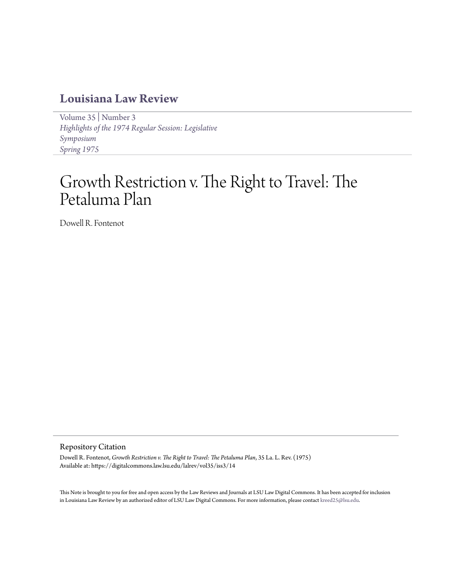## **[Louisiana Law Review](https://digitalcommons.law.lsu.edu/lalrev)**

[Volume 35](https://digitalcommons.law.lsu.edu/lalrev/vol35) | [Number 3](https://digitalcommons.law.lsu.edu/lalrev/vol35/iss3) *[Highlights of the 1974 Regular Session: Legislative](https://digitalcommons.law.lsu.edu/lalrev/vol35/iss3) [Symposium](https://digitalcommons.law.lsu.edu/lalrev/vol35/iss3) [Spring 1975](https://digitalcommons.law.lsu.edu/lalrev/vol35/iss3)*

## Growth Restriction v. The Right to Travel: The Petaluma Plan

Dowell R. Fontenot

## Repository Citation

Dowell R. Fontenot, *Growth Restriction v. The Right to Travel: The Petaluma Plan*, 35 La. L. Rev. (1975) Available at: https://digitalcommons.law.lsu.edu/lalrev/vol35/iss3/14

This Note is brought to you for free and open access by the Law Reviews and Journals at LSU Law Digital Commons. It has been accepted for inclusion in Louisiana Law Review by an authorized editor of LSU Law Digital Commons. For more information, please contact [kreed25@lsu.edu](mailto:kreed25@lsu.edu).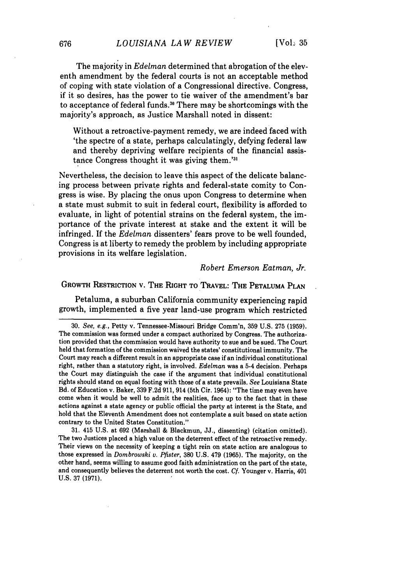The majority in *Edelman* determined that abrogation of the eleventh amendment **by** the federal courts is not an acceptable method of coping with state violation of a Congressional directive. Congress, if it so desires, has the power to tie waiver of the amendment's bar to acceptance of federal funds." There may be shortcomings with the majority's approach, as Justice Marshall noted in dissent:

Without a retroactive-payment remedy, we are indeed faced with 'the spectre of a state, perhaps calculatingly, defying federal law and thereby depriving welfare recipients of the financial assistance Congress thought it was giving them.'

Nevertheless, the decision to leave this aspect of the delicate balancing process between private rights and federal-state comity to Congress is wise. **By** placing the onus upon Congress to determine when a state must submit to suit in federal court, flexibility is afforded to evaluate, in light of potential strains on the federal system, the importance of the private interest at stake and the extent it will be infringed. **If** the *Edelman* dissenters' fears prove to be well founded, Congress is at liberty to remedy the problem **by** including appropriate provisions in its welfare legislation.

*Robert Emerson Eatman, Jr.*

## GROWTH **RESTRICTION** v. THE RIGHT TO TRAVEL: THE **PETALUMA PLAN**

Petaluma, a suburban California community experiencing rapid growth, implemented a five year land-use program which restricted

**31.** 415 **U.S.** at **692** (Marshall **&** Blackmun, **JJ.,** dissenting) (citation omitted). The two Justices placed a high value on the deterrent effect of the retroactive remedy. Their views on the necessity of keeping a tight rein on state action are analogous to those expressed in *Dombrowski v. Pfister,* **380 U.S.** 479 **(1965).** The majority, on the other hand, seems willing to assume good faith administration on the part of the state, and consequently believes the deterrent not worth the cost. *Cf.* Younger v. Harris, 401 **U.S. 37 (1971).**

**<sup>30.</sup>** *See, e.g.,* Petty v. Tennessee-Missouri Bridge Comm'n, **359 U.S. 275 (1959).** The commission was formed under a compact authorized **by** Congress. The authorization provided that the commission would have authority to sue and be sued. The Court held that formation of the commission waived the states' constitutional immunity. The Court may reach a different result in an appropriate case if an individual constitutional right, rather than a statutory right, is involved. *Edelman* was a 5-4 decision. Perhaps the Court may distinguish the case if the argument that individual constitutional rights should stand on equal footing with those of a state prevails. *See* Louisiana State Bd. of Education v. Baker, **339 F.2d 911,** 914 (5th Cir. 1964): "The time may even have come when it would be well to admit the realities, face up to the fact that in these actions against a state agency or public official the party at interest is the State, and hold that the Eleventh Amendment does not contemplate a suit based on state action contrary to the United States Constitution."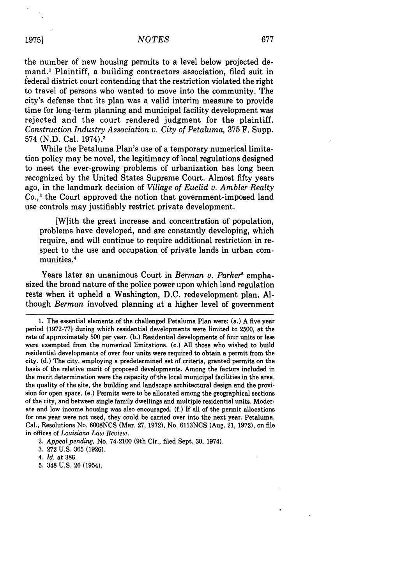the number of new housing permits to a level below projected demand.' Plaintiff, a building contractors association, filed suit in federal district court contending that the restriction violated the right to travel of persons who wanted to move into the community. The city's defense that its plan was a valid interim measure to provide time for long-term planning and municipal facility development was rejected and the court rendered judgment for the plaintiff. *Construction Industry Association v. City of Petaluma,* 375 F. Supp. 574 (N.D. Cal. 1974).1

While the Petaluma Plan's use of a temporary numerical limitation policy may be novel, the legitimacy of local regulations designed to meet the ever-growing problems of urbanization has long been recognized by the United States Supreme Court. Almost fifty years ago, in the landmark decision of *Village of Euclid v. Ambler Realty Co.,3* the Court approved the notion that government-imposed land use controls may justifiably restrict private development.

[W]ith the great increase and concentration of population, problems have developed, and are constantly developing, which require, and will continue to require additional restriction in respect to the use and occupation of private lands in urban communities.4

Years later an unanimous Court in *Berman v. Parker5* emphasized the broad nature of the police power upon which land regulation rests when it upheld a Washington, D.C. redevelopment plan. Although *Berman* involved planning at a higher level of government

**19751**

**5.** 348 **U.S. 26** (1954).

<sup>1.</sup> The essential elements of the challenged Petaluma Plan were: (a.) A five year period (1972-77) during which residential developments were limited to 2500, at the rate of approximately 500 per year. (b.) Residential developments of four units or less were exempted from the numerical limitations. (c.) All those who wished to build residential developments of over four units were required to obtain a permit from the city. **(d.)** The city, employing a predetermined set of criteria, granted permits on the basis of the relative merit of proposed developments. Among the factors included in the merit determination were the capacity of the local municipal facilities in the area, the quality of the site, the building and landscape architectural design and the provision for open space. (e.) Permits were to be allocated among the geographical sections of the city, and between single family dwellings and multiple residential units. Moderate and low income housing was also encouraged. **(f.)** If all of the permit allocations for one year were not used, they could be carried over into the next year. Petaluma, Cal., Resolutions No. **6008NCS** (Mar. **27, 1972),** No. **6113NCS** (Aug. 21, **1972),** on file in offices of *Louisiana Law Review.*

<sup>2.</sup> *Appeal pending,* No. 74-2100 (9th Cir., filed Sept. **30,** 1974).

**<sup>3. 272</sup> U.S. 365 (1926).**

<sup>4.</sup> *Id.* at **386.**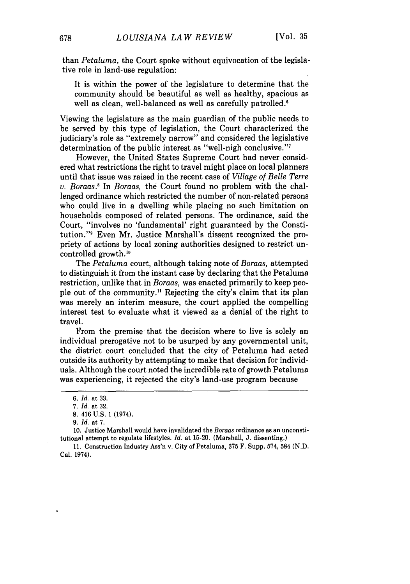than *Petaluma,* the Court spoke without equivocation of the legislative role in land-use regulation:

It is within the power of the legislature to determine that the community should be beautiful as well as healthy, spacious as well as clean, well-balanced as well as carefully patrolled.<sup>6</sup>

Viewing the legislature as the main guardian of the public needs to be served by this type of legislation, the Court characterized the judiciary's role as "extremely narrow" and considered the legislative determination of the public interest as "well-nigh conclusive."7

However, the United States Supreme Court had never considered what restrictions the right to travel might place on local planners until that issue was raised in the recent case of *Village of Belle Terre v. Boraas.* In *Boraas,* the Court found no problem with the challenged ordinance which restricted the number of non-related persons who could live in a dwelling while placing no such limitation on households composed of related persons. The ordinance, said the Court, "involves no 'fundamental' right guaranteed by the Constitution."9 Even Mr. Justice Marshall's dissent recognized the propriety of actions by local zoning authorities designed to restrict uncontrolled growth.'<sup>0</sup>

The *Petaluma* court, although taking note of *Boraas,* attempted to distinguish it from the instant case by declaring that the Petaluma restriction, unlike that in *Boraas,* was enacted primarily to keep people out of the community." Rejecting the city's claim that its plan was merely an interim measure, the court applied the compelling interest test to evaluate what it viewed as a denial of the right to travel.

From the premise that the decision where to live is solely an individual prerogative not to be usurped by any governmental unit, the district court concluded that the city of Petaluma had acted outside its authority by attempting to make that decision for individuals. Although the court noted the incredible rate of growth Petaluma was experiencing, it rejected the city's land-use program because

10. Justice Marshall would have invalidated the *Boraas* ordinance as an unconstitutional attempt to regulate lifestyles. *Id.* at 15-20. (Marshall, J. dissenting.)

11. Construction Industry Ass'n v. City of Petaluma, 375 F. Supp. 574, 584 (N.D. Cal. 1974).

*<sup>6.</sup> Id.* at 33.

<sup>7.</sup> *Id.* at 32.

<sup>8. 416</sup> U.S. 1 (1974).

<sup>9.</sup> *Id.* at 7.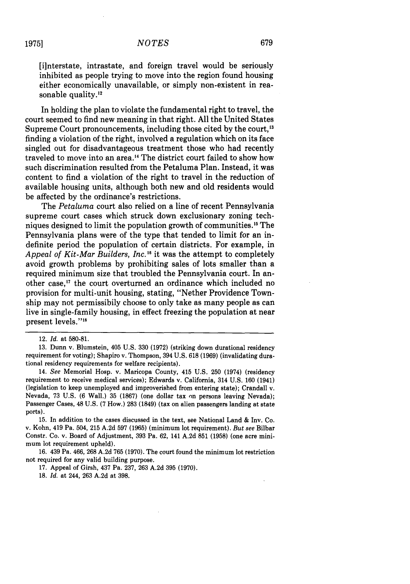[ilnterstate, intrastate, and foreign travel would be seriously inhibited as people trying to move into the region found housing either economically unavailable, or simply non-existent in reasonable quality.<sup>12</sup>

In holding the plan to violate the fundamental right to travel, the court seemed to find new meaning in that right. All the United States Supreme Court pronouncements, including those cited by the court,<sup>13</sup> finding a violation of the right, involved a regulation which on its face singled out for disadvantageous treatment those who had recently traveled to move into an area.'4 The district court failed to show how such discrimination resulted from the Petaluma Plan. Instead, it was content to find a violation of the right to travel in the reduction of available housing units, although both new and old residents would be affected by the ordinance's restrictions.

The *Petaluma* court also relied on a line of recent Pennsylvania supreme court cases which struck down exclusionary zoning techniques designed to limit the population growth of communities.<sup>15</sup> The Pennsylvania plans were of the type that tended to limit for an indefinite period the population of certain districts. For example, in *Appeal of Kit-Mar Builders, Inc.'8* it was the attempt to completely avoid growth problems by prohibiting sales of lots smaller than a required minimum size that troubled the Pennsylvania court. In another case," the court overturned an ordinance which included no provision for multi-unit housing, stating, "Nether Providence Township may not permissibily choose to only take as many people as can live in single-family housing, in effect freezing the population at near present levels."<sup>18</sup>

18. *Id.* at 244, **263** A.2d at **398.**

<sup>12.</sup> *Id.* at 580-81.

<sup>13.</sup> Dunn v. Blumstein, 405 U.S. 330 (1972) (striking down durational residency requirement for voting); Shapiro v. Thompson, 394 U.S. 618 (1969) (invalidating durational residency requirements for welfare recipients).

<sup>14.</sup> *See* Memorial Hosp. v. Maricopa County, 415 **U.S. 250** (1974) (residency requirement to receive medical services); Edwards v. California, 314 **U.S. 160** (1941) (legislation to keep unemployed and improverished from entering state); Crandall v. Nevada, **73 U.S. (6** Wall.) **35 (1867)** (one dollar tax on persons leaving Nevada); Passenger Cases, 48 **U.S. (7** How.) **283** (1849) (tax on alien passengers landing at state ports).

**<sup>15.</sup>** In addition to the cases discussed in the text, see National Land & Inv. Co. v. Kohn, 419 Pa. 504, **215** A.2d **597** (1965) (minimum lot requirement). *But see* Bilbar Constr. Co. v. Board of Adjustment, **393** Pa. **62,** 141 A.2d **851** (1958) (one acre minimum lot requirement upheld).

<sup>16. 439</sup> Pa. 466, **268** A.2d **765** (1970). The court found the minimum lot restriction not required for any valid building purpose.

<sup>17.</sup> Appeal of Girsh, 437 Pa. **237, 263** A.2d **395** (1970).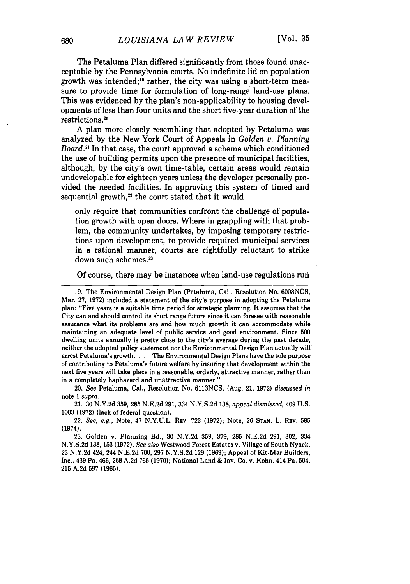The Petaluma Plan differed significantly from those found unacceptable by the Pennsylvania courts. No indefinite lid on population growth was intended;" rather, the city was using a short-term measure to provide time for formulation of long-range land-use plans. This was evidenced by the plan's non-applicability to housing developments of less than four units and the short five-year duration of the restrictions. <sup>2</sup>

**A** plan more closely resembling that adopted **by** Petaluma was analyzed **by** the New York Court of Appeals in *Golden v. Planning Board.2* In that case, the court approved a scheme which conditioned the use of building permits upon the presence of municipal facilities, although, **by** the city's own time-table, certain areas would remain undevelopable for eighteen years unless the developer personally provided the needed facilities. In approving this system of timed and sequential growth,<sup>22</sup> the court stated that it would

only require that communities confront the challenge of population growth with open doors. Where in grappling with that problem, the community undertakes, **by** imposing temporary restrictions upon development, to provide required municipal services in a rational manner, courts are rightfully reluctant to strike down such schemes.<sup>23</sup>

Of course, there may be instances when land-use regulations run

20. *See* Petaluma, Cal., Resolution No. 6113NCS, (Aug. 21, 1972) *discussed in* note 1 *supra.*

21. 30 N.Y.2d 359, 285 N.E.2d 291, 334 N.Y.S.2d 138, *appeal dismissed,* 409 U.S. **1003 (1972)** (lack of federal question).

22. *See, e.g.,* Note, 47 **N.Y.U.L. REv. 723 (1972);** Note, **26 STAN.** L. REV. **585** (1974).

**23.** Golden v. Planning Bd., **30 N.Y.2d 359, 379, 285 N.E.2d 291, 302,** 334 **N.Y.S.2d 138, 153 (1972).** *See also* Westwood Forest Estates v. Village of South Nyack, **23 N.Y.2d** 424, 244 **N.E.2d 700, 297 N.Y.S.2d 129 (1969);** Appeal of Kit-Mar Builders, Inc., 439 Pa. 466, **268 A.2d 765 (1970);** National Land **& Inv.** Co. v. Kohn, 414 Pa: 504, **215 A.2d 597 (1965).**

<sup>19.</sup> The Environmental Design Plan (Petaluma, Cal., Resolution No. 6008NCS, Mar. 27, 1972) included a statement of the city's purpose in adopting the Petaluma plan: "Five years is a suitable time period for strategic planning. It assumes that the City can and should control its short range future since it can foresee with reasonable assurance what its problems are and how much growth it can accommodate while maintaining an adequate level of public service and good environment. Since 500 dwelling units annually is pretty close to the city's average during the past decade, neither the adopted policy statement nor the Environmental Design Plan actually will arrest Petaluma's growth. . **.** .The Environmental Design Plans have the sole purpose of contributing to Petaluma's future welfare by insuring that development within the next five years will take place in a reasonable, orderly, attractive manner, rather than in a completely haphazard and unattractive manner."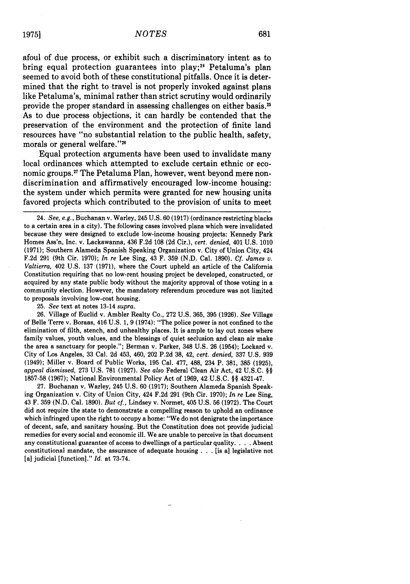681

afoul of due process, or exhibit such a discriminatory intent as to bring equal protection guarantees into play;<sup>24</sup> Petaluma's plan seemed to avoid both of these constitutional pitfalls. Once it is determined that the right to travel is not properly invoked against plans like Petaluma's, minimal rather than strict scrutiny would ordinarily provide the proper standard in assessing challenges on either basis.<sup>25</sup> As to due process objections, it can hardly be contended that the preservation of the environment and the protection of finite land resources have "no substantial relation to the public health, safety, morals or general welfare."<sup>26</sup>

Equal protection arguments have been used to invalidate many local ordinances which attempted to exclude certain ethnic or economic groups." The Petaluma Plan, however, went beyond mere nondiscrimination and affirmatively encouraged low-income housing: the system under which permits were granted for new housing units favored projects which contributed to the provision of units to meet

25. *See* text at notes 13-14 *supra.*

26. Village of Euclid v. Ambler Realty Co., 272 U.S. 365, 395 (1926). *See* Village of Belle Terre v. Boraas, 416 U.S. 1, 9 (1974): "The police power is not confined to the elimination of filth, stench, and unhealthy places. It is ample to lay out zones where family values, youth values, and the blessings of quiet seclusion and clean air make the area a sanctuary for people."; Berman v. Parker, 348 U.S. 26 (1954); Lockard v. City of Los Angeles, 33 Cal. 2d 453, 460, 202 P.2d 38, 42, *cert. denied,* 337 U.S. 939 (1949); Miller v. Board of Public Works, 195 Cal. 477, 488, 234 P. 381, 385 (1925), *appeal dismissed,* 273 U.S. 781 (1927). *See also* Federal Clean Air Act, 42 U.S.C. §§ 1857-58 (1967); National Environmental Policy Act of 1969, 42 U.S.C. §§ 4321-47.

27. Buchanan v. Warley, 245 U.S. 60 (1917); Southern Alameda Spanish Speaking Organization v. City of Union City, 424 F.2d 291 (9th Cir. 1970); *In re* Lee Sing, 43 F. 359 (N.D. Cal. 1890). *But cf.,* Lindsey v. Normet, 405 U.S. 56 (1972). The Court did not require the state to demonstrate a compelling reason to uphold an ordinance which infringed upon the right to occupy a home: "We do not denigrate the importance of decent, safe, and sanitary housing. But the Constitution does not provide judicial remedies for every social and economic ill. We are unable to perceive in that document any constitutional guarantee of access to dwellings of a particular quality. . **.** . Absent constitutional mandate, the assurance of adequate housing **. .** . [is a] legislative not [a] judicial [function]." *Id.* at 73-74.

<sup>24.</sup> *See, e.g.,* Buchanan v. Warley, 245 U.S. 60 (1917) (ordinance restricting blacks to a certain area in a city). The following cases involved plans which were invalidated because they were designed to exclude low-income housing projects: Kennedy Park Homes Ass'n, Inc. v. Lackawanna, 436 F.2d 108 (2d Cir.), *cert. denied,* 401 U.S. 1010 (1971); Southern Alameda Spanish Speaking Organization v. City of Union City, 424 F.2d 291 (9th Cir. 1970); *In re* Lee Sing, 43 F. 359 (N.D. Cal. 1890). *Cf. James v. Valtierra,* 402 U.S. 137 (1971), where the Court upheld an article of the California Constitution requiring that no low-rent housing project be developed, constructed, or acquired by any state public body without the majority approval of those voting in a community election. However, the mandatory referendum procedure was not limited to proposals involving low-cost housing.